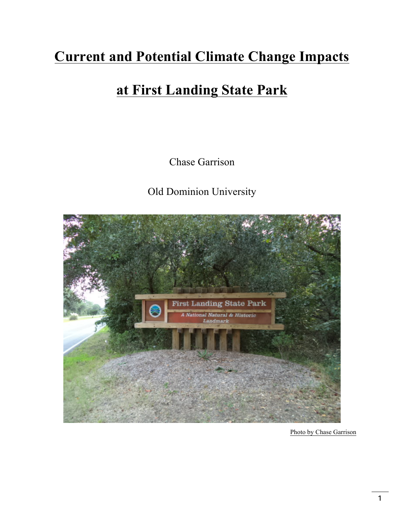# **Current and Potential Climate Change Impacts**

# **at First Landing State Park**

Chase Garrison

Old Dominion University



Photo by Chase Garrison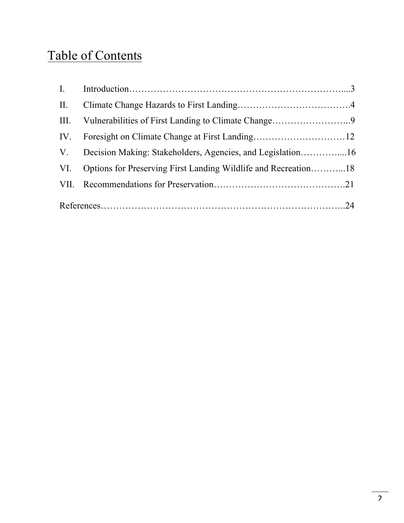# Table of Contents

|  | V. Decision Making: Stakeholders, Agencies, and Legislation16      |  |
|--|--------------------------------------------------------------------|--|
|  | VI. Options for Preserving First Landing Wildlife and Recreation18 |  |
|  |                                                                    |  |
|  |                                                                    |  |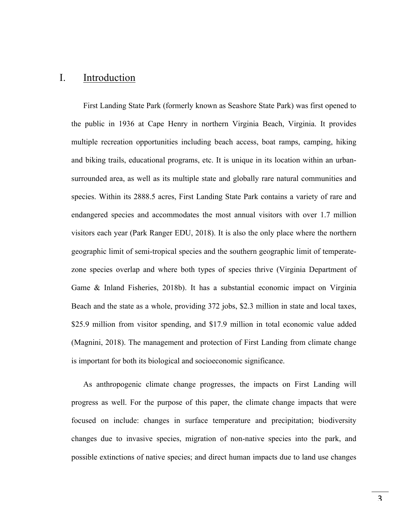# I. Introduction

First Landing State Park (formerly known as Seashore State Park) was first opened to the public in 1936 at Cape Henry in northern Virginia Beach, Virginia. It provides multiple recreation opportunities including beach access, boat ramps, camping, hiking and biking trails, educational programs, etc. It is unique in its location within an urbansurrounded area, as well as its multiple state and globally rare natural communities and species. Within its 2888.5 acres, First Landing State Park contains a variety of rare and endangered species and accommodates the most annual visitors with over 1.7 million visitors each year (Park Ranger EDU, 2018). It is also the only place where the northern geographic limit of semi-tropical species and the southern geographic limit of temperatezone species overlap and where both types of species thrive (Virginia Department of Game & Inland Fisheries, 2018b). It has a substantial economic impact on Virginia Beach and the state as a whole, providing 372 jobs, \$2.3 million in state and local taxes, \$25.9 million from visitor spending, and \$17.9 million in total economic value added (Magnini, 2018). The management and protection of First Landing from climate change is important for both its biological and socioeconomic significance.

As anthropogenic climate change progresses, the impacts on First Landing will progress as well. For the purpose of this paper, the climate change impacts that were focused on include: changes in surface temperature and precipitation; biodiversity changes due to invasive species, migration of non-native species into the park, and possible extinctions of native species; and direct human impacts due to land use changes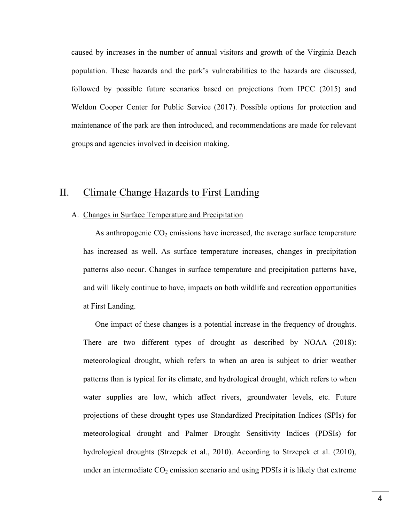caused by increases in the number of annual visitors and growth of the Virginia Beach population. These hazards and the park's vulnerabilities to the hazards are discussed, followed by possible future scenarios based on projections from IPCC (2015) and Weldon Cooper Center for Public Service (2017). Possible options for protection and maintenance of the park are then introduced, and recommendations are made for relevant groups and agencies involved in decision making.

## II. Climate Change Hazards to First Landing

## A. Changes in Surface Temperature and Precipitation

As anthropogenic  $CO<sub>2</sub>$  emissions have increased, the average surface temperature has increased as well. As surface temperature increases, changes in precipitation patterns also occur. Changes in surface temperature and precipitation patterns have, and will likely continue to have, impacts on both wildlife and recreation opportunities at First Landing.

One impact of these changes is a potential increase in the frequency of droughts. There are two different types of drought as described by NOAA (2018): meteorological drought, which refers to when an area is subject to drier weather patterns than is typical for its climate, and hydrological drought, which refers to when water supplies are low, which affect rivers, groundwater levels, etc. Future projections of these drought types use Standardized Precipitation Indices (SPIs) for meteorological drought and Palmer Drought Sensitivity Indices (PDSIs) for hydrological droughts (Strzepek et al., 2010). According to Strzepek et al. (2010), under an intermediate  $CO<sub>2</sub>$  emission scenario and using PDSIs it is likely that extreme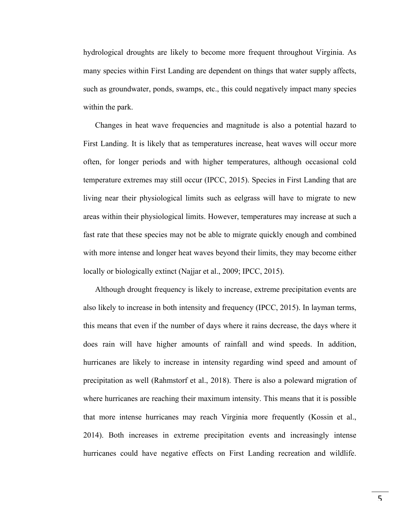hydrological droughts are likely to become more frequent throughout Virginia. As many species within First Landing are dependent on things that water supply affects, such as groundwater, ponds, swamps, etc., this could negatively impact many species within the park.

Changes in heat wave frequencies and magnitude is also a potential hazard to First Landing. It is likely that as temperatures increase, heat waves will occur more often, for longer periods and with higher temperatures, although occasional cold temperature extremes may still occur (IPCC, 2015). Species in First Landing that are living near their physiological limits such as eelgrass will have to migrate to new areas within their physiological limits. However, temperatures may increase at such a fast rate that these species may not be able to migrate quickly enough and combined with more intense and longer heat waves beyond their limits, they may become either locally or biologically extinct (Najjar et al., 2009; IPCC, 2015).

Although drought frequency is likely to increase, extreme precipitation events are also likely to increase in both intensity and frequency (IPCC, 2015). In layman terms, this means that even if the number of days where it rains decrease, the days where it does rain will have higher amounts of rainfall and wind speeds. In addition, hurricanes are likely to increase in intensity regarding wind speed and amount of precipitation as well (Rahmstorf et al., 2018). There is also a poleward migration of where hurricanes are reaching their maximum intensity. This means that it is possible that more intense hurricanes may reach Virginia more frequently (Kossin et al., 2014). Both increases in extreme precipitation events and increasingly intense hurricanes could have negative effects on First Landing recreation and wildlife.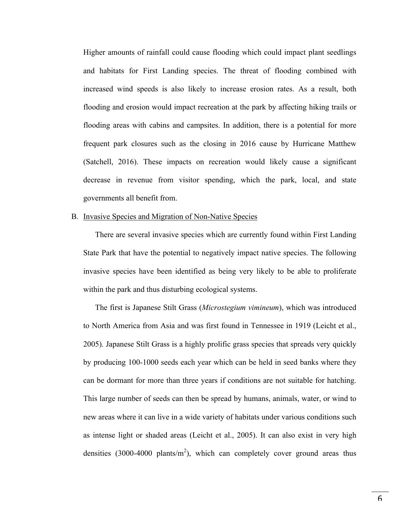Higher amounts of rainfall could cause flooding which could impact plant seedlings and habitats for First Landing species. The threat of flooding combined with increased wind speeds is also likely to increase erosion rates. As a result, both flooding and erosion would impact recreation at the park by affecting hiking trails or flooding areas with cabins and campsites. In addition, there is a potential for more frequent park closures such as the closing in 2016 cause by Hurricane Matthew (Satchell, 2016). These impacts on recreation would likely cause a significant decrease in revenue from visitor spending, which the park, local, and state governments all benefit from.

## B. Invasive Species and Migration of Non-Native Species

There are several invasive species which are currently found within First Landing State Park that have the potential to negatively impact native species. The following invasive species have been identified as being very likely to be able to proliferate within the park and thus disturbing ecological systems.

The first is Japanese Stilt Grass (*Microstegium vimineum*), which was introduced to North America from Asia and was first found in Tennessee in 1919 (Leicht et al., 2005). Japanese Stilt Grass is a highly prolific grass species that spreads very quickly by producing 100-1000 seeds each year which can be held in seed banks where they can be dormant for more than three years if conditions are not suitable for hatching. This large number of seeds can then be spread by humans, animals, water, or wind to new areas where it can live in a wide variety of habitats under various conditions such as intense light or shaded areas (Leicht et al., 2005). It can also exist in very high densities (3000-4000 plants/ $m<sup>2</sup>$ ), which can completely cover ground areas thus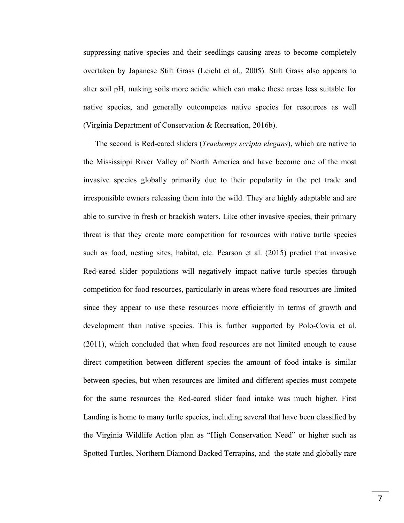suppressing native species and their seedlings causing areas to become completely overtaken by Japanese Stilt Grass (Leicht et al., 2005). Stilt Grass also appears to alter soil pH, making soils more acidic which can make these areas less suitable for native species, and generally outcompetes native species for resources as well (Virginia Department of Conservation & Recreation, 2016b).

The second is Red-eared sliders (*Trachemys scripta elegans*), which are native to the Mississippi River Valley of North America and have become one of the most invasive species globally primarily due to their popularity in the pet trade and irresponsible owners releasing them into the wild. They are highly adaptable and are able to survive in fresh or brackish waters. Like other invasive species, their primary threat is that they create more competition for resources with native turtle species such as food, nesting sites, habitat, etc. Pearson et al. (2015) predict that invasive Red-eared slider populations will negatively impact native turtle species through competition for food resources, particularly in areas where food resources are limited since they appear to use these resources more efficiently in terms of growth and development than native species. This is further supported by Polo-Covia et al. (2011), which concluded that when food resources are not limited enough to cause direct competition between different species the amount of food intake is similar between species, but when resources are limited and different species must compete for the same resources the Red-eared slider food intake was much higher. First Landing is home to many turtle species, including several that have been classified by the Virginia Wildlife Action plan as "High Conservation Need" or higher such as Spotted Turtles, Northern Diamond Backed Terrapins, and the state and globally rare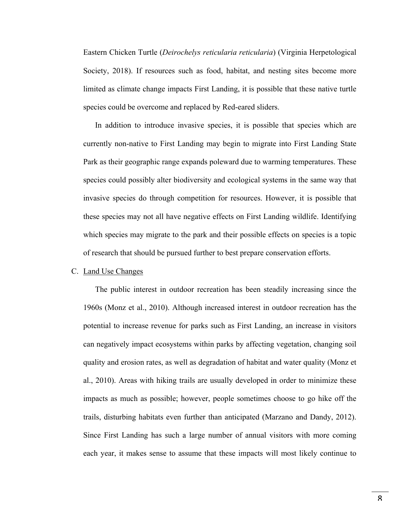Eastern Chicken Turtle (*Deirochelys reticularia reticularia*) (Virginia Herpetological Society, 2018). If resources such as food, habitat, and nesting sites become more limited as climate change impacts First Landing, it is possible that these native turtle species could be overcome and replaced by Red-eared sliders.

In addition to introduce invasive species, it is possible that species which are currently non-native to First Landing may begin to migrate into First Landing State Park as their geographic range expands poleward due to warming temperatures. These species could possibly alter biodiversity and ecological systems in the same way that invasive species do through competition for resources. However, it is possible that these species may not all have negative effects on First Landing wildlife. Identifying which species may migrate to the park and their possible effects on species is a topic of research that should be pursued further to best prepare conservation efforts.

#### C. Land Use Changes

The public interest in outdoor recreation has been steadily increasing since the 1960s (Monz et al., 2010). Although increased interest in outdoor recreation has the potential to increase revenue for parks such as First Landing, an increase in visitors can negatively impact ecosystems within parks by affecting vegetation, changing soil quality and erosion rates, as well as degradation of habitat and water quality (Monz et al., 2010). Areas with hiking trails are usually developed in order to minimize these impacts as much as possible; however, people sometimes choose to go hike off the trails, disturbing habitats even further than anticipated (Marzano and Dandy, 2012). Since First Landing has such a large number of annual visitors with more coming each year, it makes sense to assume that these impacts will most likely continue to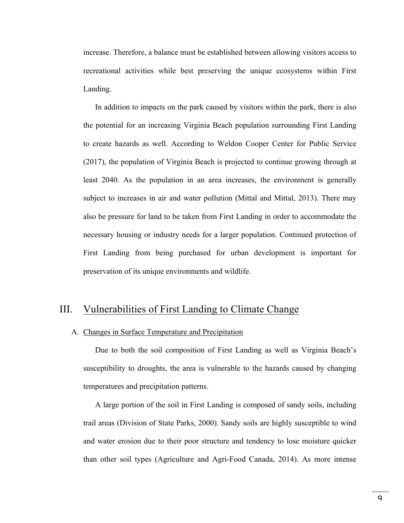increase. Therefore, a balance must be established between allowing visitors access to recreational activities while best preserving the unique ecosystems within First Landing.

In addition to impacts on the park caused by visitors within the park, there is also the potential for an increasing Virginia Beach population surrounding First Landing to create hazards as well. According to Weldon Cooper Center for Public Service (2017), the population of Virginia Beach is projected to continue growing through at least 2040. As the population in an area increases, the environment is generally subject to increases in air and water pollution (Mittal and Mittal, 2013). There may also be pressure for land to be taken from First Landing in order to accommodate the necessary housing or industry needs for a larger population. Continued protection of First Landing from being purchased for urban development is important for preservation of its unique environments and wildlife.

## III. Vulnerabilities of First Landing to Climate Change

## A. Changes in Surface Temperature and Precipitation

Due to both the soil composition of First Landing as well as Virginia Beach's susceptibility to droughts, the area is vulnerable to the hazards caused by changing temperatures and precipitation patterns.

A large portion of the soil in First Landing is composed of sandy soils, including trail areas (Division of State Parks, 2000). Sandy soils are highly susceptible to wind and water erosion due to their poor structure and tendency to lose moisture quicker than other soil types (Agriculture and Agri-Food Canada, 2014). As more intense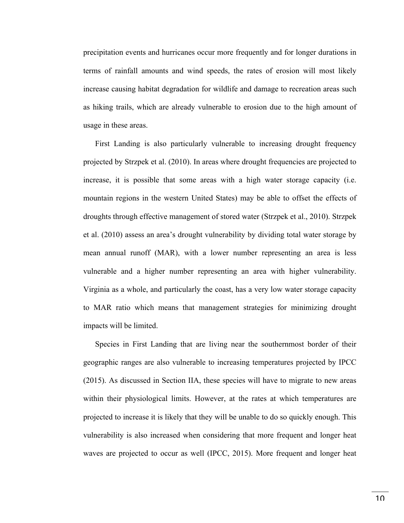precipitation events and hurricanes occur more frequently and for longer durations in terms of rainfall amounts and wind speeds, the rates of erosion will most likely increase causing habitat degradation for wildlife and damage to recreation areas such as hiking trails, which are already vulnerable to erosion due to the high amount of usage in these areas.

First Landing is also particularly vulnerable to increasing drought frequency projected by Strzpek et al. (2010). In areas where drought frequencies are projected to increase, it is possible that some areas with a high water storage capacity (i.e. mountain regions in the western United States) may be able to offset the effects of droughts through effective management of stored water (Strzpek et al., 2010). Strzpek et al. (2010) assess an area's drought vulnerability by dividing total water storage by mean annual runoff (MAR), with a lower number representing an area is less vulnerable and a higher number representing an area with higher vulnerability. Virginia as a whole, and particularly the coast, has a very low water storage capacity to MAR ratio which means that management strategies for minimizing drought impacts will be limited.

Species in First Landing that are living near the southernmost border of their geographic ranges are also vulnerable to increasing temperatures projected by IPCC (2015). As discussed in Section IIA, these species will have to migrate to new areas within their physiological limits. However, at the rates at which temperatures are projected to increase it is likely that they will be unable to do so quickly enough. This vulnerability is also increased when considering that more frequent and longer heat waves are projected to occur as well (IPCC, 2015). More frequent and longer heat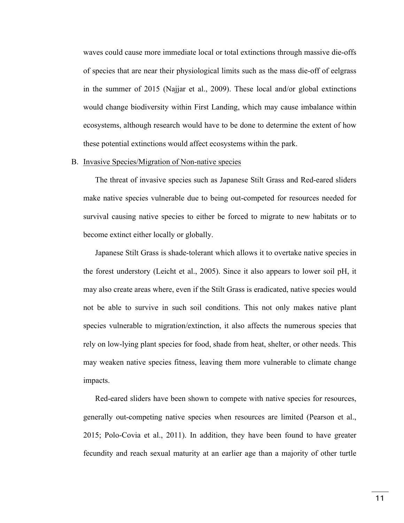waves could cause more immediate local or total extinctions through massive die-offs of species that are near their physiological limits such as the mass die-off of eelgrass in the summer of 2015 (Najjar et al., 2009). These local and/or global extinctions would change biodiversity within First Landing, which may cause imbalance within ecosystems, although research would have to be done to determine the extent of how these potential extinctions would affect ecosystems within the park.

### B. Invasive Species/Migration of Non-native species

The threat of invasive species such as Japanese Stilt Grass and Red-eared sliders make native species vulnerable due to being out-competed for resources needed for survival causing native species to either be forced to migrate to new habitats or to become extinct either locally or globally.

Japanese Stilt Grass is shade-tolerant which allows it to overtake native species in the forest understory (Leicht et al., 2005). Since it also appears to lower soil pH, it may also create areas where, even if the Stilt Grass is eradicated, native species would not be able to survive in such soil conditions. This not only makes native plant species vulnerable to migration/extinction, it also affects the numerous species that rely on low-lying plant species for food, shade from heat, shelter, or other needs. This may weaken native species fitness, leaving them more vulnerable to climate change impacts.

Red-eared sliders have been shown to compete with native species for resources, generally out-competing native species when resources are limited (Pearson et al., 2015; Polo-Covia et al., 2011). In addition, they have been found to have greater fecundity and reach sexual maturity at an earlier age than a majority of other turtle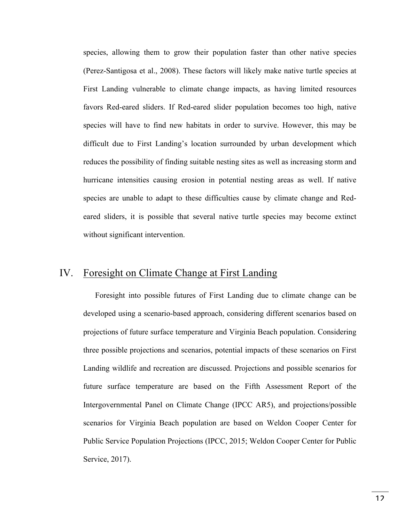species, allowing them to grow their population faster than other native species (Perez-Santigosa et al., 2008). These factors will likely make native turtle species at First Landing vulnerable to climate change impacts, as having limited resources favors Red-eared sliders. If Red-eared slider population becomes too high, native species will have to find new habitats in order to survive. However, this may be difficult due to First Landing's location surrounded by urban development which reduces the possibility of finding suitable nesting sites as well as increasing storm and hurricane intensities causing erosion in potential nesting areas as well. If native species are unable to adapt to these difficulties cause by climate change and Redeared sliders, it is possible that several native turtle species may become extinct without significant intervention.

# IV. Foresight on Climate Change at First Landing

Foresight into possible futures of First Landing due to climate change can be developed using a scenario-based approach, considering different scenarios based on projections of future surface temperature and Virginia Beach population. Considering three possible projections and scenarios, potential impacts of these scenarios on First Landing wildlife and recreation are discussed. Projections and possible scenarios for future surface temperature are based on the Fifth Assessment Report of the Intergovernmental Panel on Climate Change (IPCC AR5), and projections/possible scenarios for Virginia Beach population are based on Weldon Cooper Center for Public Service Population Projections (IPCC, 2015; Weldon Cooper Center for Public Service, 2017).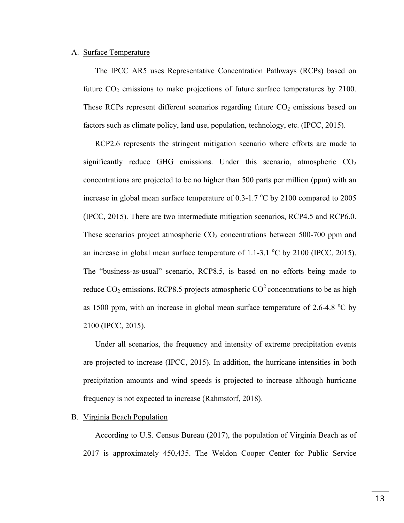#### A. Surface Temperature

The IPCC AR5 uses Representative Concentration Pathways (RCPs) based on future  $CO<sub>2</sub>$  emissions to make projections of future surface temperatures by 2100. These RCPs represent different scenarios regarding future  $CO<sub>2</sub>$  emissions based on factors such as climate policy, land use, population, technology, etc. (IPCC, 2015).

RCP2.6 represents the stringent mitigation scenario where efforts are made to significantly reduce GHG emissions. Under this scenario, atmospheric  $CO<sub>2</sub>$ concentrations are projected to be no higher than 500 parts per million (ppm) with an increase in global mean surface temperature of  $0.3$ -1.7  $^{\circ}$ C by 2100 compared to 2005 (IPCC, 2015). There are two intermediate mitigation scenarios, RCP4.5 and RCP6.0. These scenarios project atmospheric  $CO<sub>2</sub>$  concentrations between 500-700 ppm and an increase in global mean surface temperature of  $1.1$ -3.1  $\mathrm{^{\circ}C}$  by 2100 (IPCC, 2015). The "business-as-usual" scenario, RCP8.5, is based on no efforts being made to reduce  $CO_2$  emissions. RCP8.5 projects atmospheric  $CO^2$  concentrations to be as high as 1500 ppm, with an increase in global mean surface temperature of  $2.6-4.8$  °C by 2100 (IPCC, 2015).

Under all scenarios, the frequency and intensity of extreme precipitation events are projected to increase (IPCC, 2015). In addition, the hurricane intensities in both precipitation amounts and wind speeds is projected to increase although hurricane frequency is not expected to increase (Rahmstorf, 2018).

#### B. Virginia Beach Population

According to U.S. Census Bureau (2017), the population of Virginia Beach as of 2017 is approximately 450,435. The Weldon Cooper Center for Public Service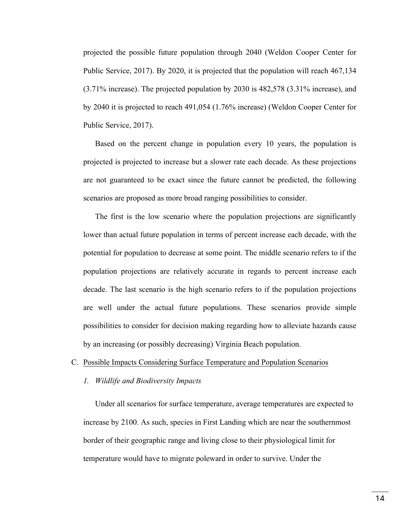projected the possible future population through 2040 (Weldon Cooper Center for Public Service, 2017). By 2020, it is projected that the population will reach 467,134 (3.71% increase). The projected population by 2030 is 482,578 (3.31% increase), and by 2040 it is projected to reach 491,054 (1.76% increase) (Weldon Cooper Center for Public Service, 2017).

Based on the percent change in population every 10 years, the population is projected is projected to increase but a slower rate each decade. As these projections are not guaranteed to be exact since the future cannot be predicted, the following scenarios are proposed as more broad ranging possibilities to consider.

The first is the low scenario where the population projections are significantly lower than actual future population in terms of percent increase each decade, with the potential for population to decrease at some point. The middle scenario refers to if the population projections are relatively accurate in regards to percent increase each decade. The last scenario is the high scenario refers to if the population projections are well under the actual future populations. These scenarios provide simple possibilities to consider for decision making regarding how to alleviate hazards cause by an increasing (or possibly decreasing) Virginia Beach population.

#### C. Possible Impacts Considering Surface Temperature and Population Scenarios

*1. Wildlife and Biodiversity Impacts*

Under all scenarios for surface temperature, average temperatures are expected to increase by 2100. As such, species in First Landing which are near the southernmost border of their geographic range and living close to their physiological limit for temperature would have to migrate poleward in order to survive. Under the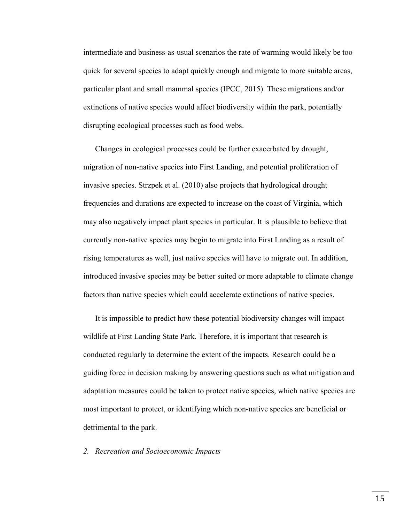intermediate and business-as-usual scenarios the rate of warming would likely be too quick for several species to adapt quickly enough and migrate to more suitable areas, particular plant and small mammal species (IPCC, 2015). These migrations and/or extinctions of native species would affect biodiversity within the park, potentially disrupting ecological processes such as food webs.

Changes in ecological processes could be further exacerbated by drought, migration of non-native species into First Landing, and potential proliferation of invasive species. Strzpek et al. (2010) also projects that hydrological drought frequencies and durations are expected to increase on the coast of Virginia, which may also negatively impact plant species in particular. It is plausible to believe that currently non-native species may begin to migrate into First Landing as a result of rising temperatures as well, just native species will have to migrate out. In addition, introduced invasive species may be better suited or more adaptable to climate change factors than native species which could accelerate extinctions of native species.

It is impossible to predict how these potential biodiversity changes will impact wildlife at First Landing State Park. Therefore, it is important that research is conducted regularly to determine the extent of the impacts. Research could be a guiding force in decision making by answering questions such as what mitigation and adaptation measures could be taken to protect native species, which native species are most important to protect, or identifying which non-native species are beneficial or detrimental to the park.

*2. Recreation and Socioeconomic Impacts*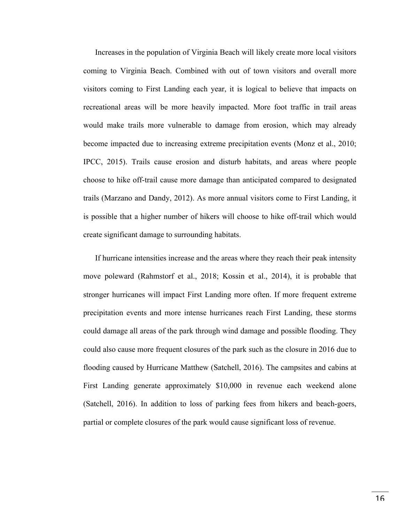Increases in the population of Virginia Beach will likely create more local visitors coming to Virginia Beach. Combined with out of town visitors and overall more visitors coming to First Landing each year, it is logical to believe that impacts on recreational areas will be more heavily impacted. More foot traffic in trail areas would make trails more vulnerable to damage from erosion, which may already become impacted due to increasing extreme precipitation events (Monz et al., 2010; IPCC, 2015). Trails cause erosion and disturb habitats, and areas where people choose to hike off-trail cause more damage than anticipated compared to designated trails (Marzano and Dandy, 2012). As more annual visitors come to First Landing, it is possible that a higher number of hikers will choose to hike off-trail which would create significant damage to surrounding habitats.

If hurricane intensities increase and the areas where they reach their peak intensity move poleward (Rahmstorf et al., 2018; Kossin et al., 2014), it is probable that stronger hurricanes will impact First Landing more often. If more frequent extreme precipitation events and more intense hurricanes reach First Landing, these storms could damage all areas of the park through wind damage and possible flooding. They could also cause more frequent closures of the park such as the closure in 2016 due to flooding caused by Hurricane Matthew (Satchell, 2016). The campsites and cabins at First Landing generate approximately \$10,000 in revenue each weekend alone (Satchell, 2016). In addition to loss of parking fees from hikers and beach-goers, partial or complete closures of the park would cause significant loss of revenue.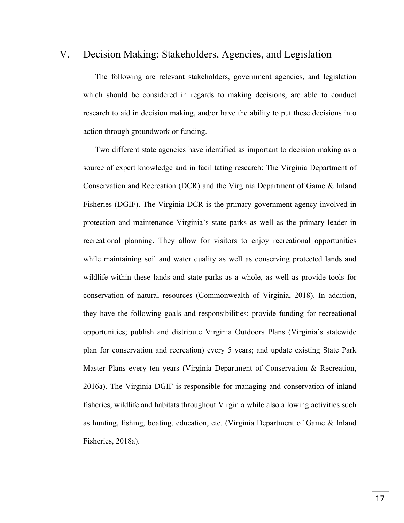## V. Decision Making: Stakeholders, Agencies, and Legislation

The following are relevant stakeholders, government agencies, and legislation which should be considered in regards to making decisions, are able to conduct research to aid in decision making, and/or have the ability to put these decisions into action through groundwork or funding.

Two different state agencies have identified as important to decision making as a source of expert knowledge and in facilitating research: The Virginia Department of Conservation and Recreation (DCR) and the Virginia Department of Game & Inland Fisheries (DGIF). The Virginia DCR is the primary government agency involved in protection and maintenance Virginia's state parks as well as the primary leader in recreational planning. They allow for visitors to enjoy recreational opportunities while maintaining soil and water quality as well as conserving protected lands and wildlife within these lands and state parks as a whole, as well as provide tools for conservation of natural resources (Commonwealth of Virginia, 2018). In addition, they have the following goals and responsibilities: provide funding for recreational opportunities; publish and distribute Virginia Outdoors Plans (Virginia's statewide plan for conservation and recreation) every 5 years; and update existing State Park Master Plans every ten years (Virginia Department of Conservation & Recreation, 2016a). The Virginia DGIF is responsible for managing and conservation of inland fisheries, wildlife and habitats throughout Virginia while also allowing activities such as hunting, fishing, boating, education, etc. (Virginia Department of Game & Inland Fisheries, 2018a).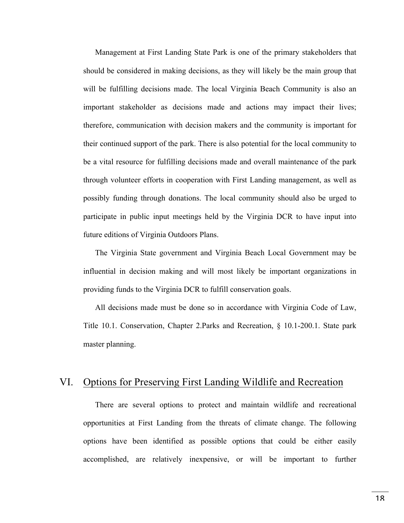Management at First Landing State Park is one of the primary stakeholders that should be considered in making decisions, as they will likely be the main group that will be fulfilling decisions made. The local Virginia Beach Community is also an important stakeholder as decisions made and actions may impact their lives; therefore, communication with decision makers and the community is important for their continued support of the park. There is also potential for the local community to be a vital resource for fulfilling decisions made and overall maintenance of the park through volunteer efforts in cooperation with First Landing management, as well as possibly funding through donations. The local community should also be urged to participate in public input meetings held by the Virginia DCR to have input into future editions of Virginia Outdoors Plans.

The Virginia State government and Virginia Beach Local Government may be influential in decision making and will most likely be important organizations in providing funds to the Virginia DCR to fulfill conservation goals.

All decisions made must be done so in accordance with Virginia Code of Law, Title 10.1. Conservation, Chapter 2.Parks and Recreation, § 10.1-200.1. State park master planning.

# VI. Options for Preserving First Landing Wildlife and Recreation

There are several options to protect and maintain wildlife and recreational opportunities at First Landing from the threats of climate change. The following options have been identified as possible options that could be either easily accomplished, are relatively inexpensive, or will be important to further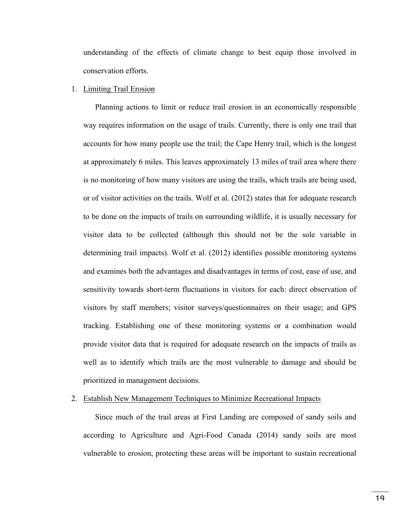understanding of the effects of climate change to best equip those involved in conservation efforts.

#### 1. Limiting Trail Erosion

Planning actions to limit or reduce trail erosion in an economically responsible way requires information on the usage of trails. Currently, there is only one trail that accounts for how many people use the trail; the Cape Henry trail, which is the longest at approximately 6 miles. This leaves approximately 13 miles of trail area where there is no monitoring of how many visitors are using the trails, which trails are being used, or of visitor activities on the trails. Wolf et al. (2012) states that for adequate research to be done on the impacts of trails on surrounding wildlife, it is usually necessary for visitor data to be collected (although this should not be the sole variable in determining trail impacts). Wolf et al. (2012) identifies possible monitoring systems and examines both the advantages and disadvantages in terms of cost, ease of use, and sensitivity towards short-term fluctuations in visitors for each: direct observation of visitors by staff members; visitor surveys/questionnaires on their usage; and GPS tracking. Establishing one of these monitoring systems or a combination would provide visitor data that is required for adequate research on the impacts of trails as well as to identify which trails are the most vulnerable to damage and should be prioritized in management decisions.

#### 2. Establish New Management Techniques to Minimize Recreational Impacts

Since much of the trail areas at First Landing are composed of sandy soils and according to Agriculture and Agri-Food Canada (2014) sandy soils are most vulnerable to erosion, protecting these areas will be important to sustain recreational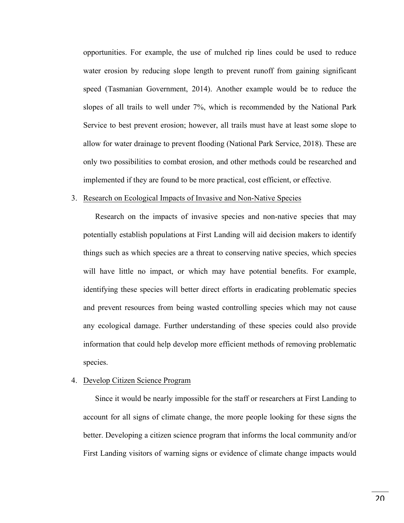opportunities. For example, the use of mulched rip lines could be used to reduce water erosion by reducing slope length to prevent runoff from gaining significant speed (Tasmanian Government, 2014). Another example would be to reduce the slopes of all trails to well under 7%, which is recommended by the National Park Service to best prevent erosion; however, all trails must have at least some slope to allow for water drainage to prevent flooding (National Park Service, 2018). These are only two possibilities to combat erosion, and other methods could be researched and implemented if they are found to be more practical, cost efficient, or effective.

#### 3. Research on Ecological Impacts of Invasive and Non-Native Species

Research on the impacts of invasive species and non-native species that may potentially establish populations at First Landing will aid decision makers to identify things such as which species are a threat to conserving native species, which species will have little no impact, or which may have potential benefits. For example, identifying these species will better direct efforts in eradicating problematic species and prevent resources from being wasted controlling species which may not cause any ecological damage. Further understanding of these species could also provide information that could help develop more efficient methods of removing problematic species.

#### 4. Develop Citizen Science Program

Since it would be nearly impossible for the staff or researchers at First Landing to account for all signs of climate change, the more people looking for these signs the better. Developing a citizen science program that informs the local community and/or First Landing visitors of warning signs or evidence of climate change impacts would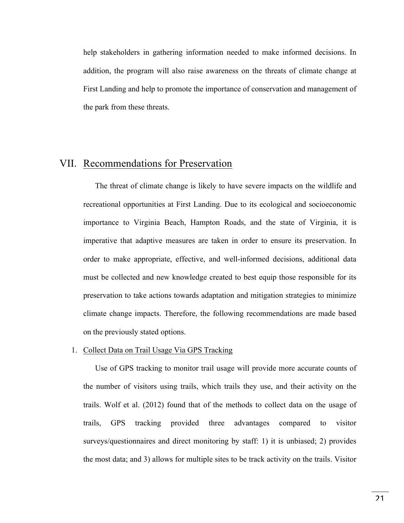help stakeholders in gathering information needed to make informed decisions. In addition, the program will also raise awareness on the threats of climate change at First Landing and help to promote the importance of conservation and management of the park from these threats.

## VII. Recommendations for Preservation

The threat of climate change is likely to have severe impacts on the wildlife and recreational opportunities at First Landing. Due to its ecological and socioeconomic importance to Virginia Beach, Hampton Roads, and the state of Virginia, it is imperative that adaptive measures are taken in order to ensure its preservation. In order to make appropriate, effective, and well-informed decisions, additional data must be collected and new knowledge created to best equip those responsible for its preservation to take actions towards adaptation and mitigation strategies to minimize climate change impacts. Therefore, the following recommendations are made based on the previously stated options.

## 1. Collect Data on Trail Usage Via GPS Tracking

Use of GPS tracking to monitor trail usage will provide more accurate counts of the number of visitors using trails, which trails they use, and their activity on the trails. Wolf et al. (2012) found that of the methods to collect data on the usage of trails, GPS tracking provided three advantages compared to visitor surveys/questionnaires and direct monitoring by staff: 1) it is unbiased; 2) provides the most data; and 3) allows for multiple sites to be track activity on the trails. Visitor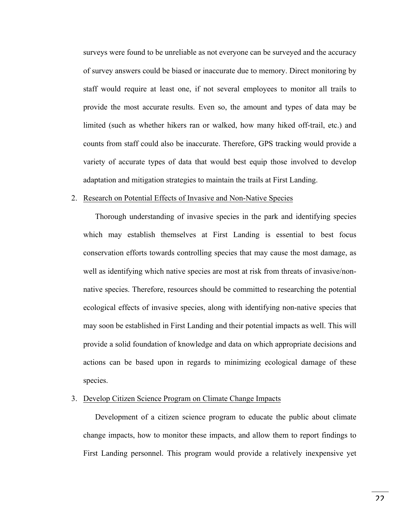surveys were found to be unreliable as not everyone can be surveyed and the accuracy of survey answers could be biased or inaccurate due to memory. Direct monitoring by staff would require at least one, if not several employees to monitor all trails to provide the most accurate results. Even so, the amount and types of data may be limited (such as whether hikers ran or walked, how many hiked off-trail, etc.) and counts from staff could also be inaccurate. Therefore, GPS tracking would provide a variety of accurate types of data that would best equip those involved to develop adaptation and mitigation strategies to maintain the trails at First Landing.

#### 2. Research on Potential Effects of Invasive and Non-Native Species

Thorough understanding of invasive species in the park and identifying species which may establish themselves at First Landing is essential to best focus conservation efforts towards controlling species that may cause the most damage, as well as identifying which native species are most at risk from threats of invasive/nonnative species. Therefore, resources should be committed to researching the potential ecological effects of invasive species, along with identifying non-native species that may soon be established in First Landing and their potential impacts as well. This will provide a solid foundation of knowledge and data on which appropriate decisions and actions can be based upon in regards to minimizing ecological damage of these species.

#### 3. Develop Citizen Science Program on Climate Change Impacts

Development of a citizen science program to educate the public about climate change impacts, how to monitor these impacts, and allow them to report findings to First Landing personnel. This program would provide a relatively inexpensive yet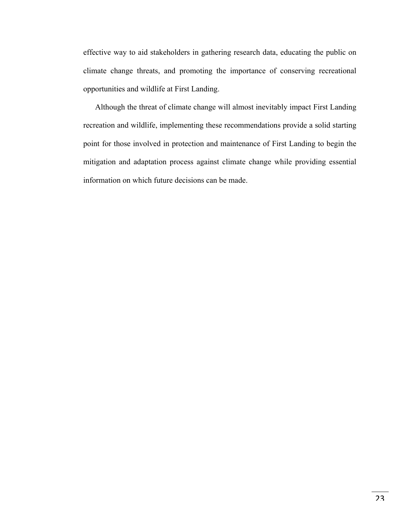effective way to aid stakeholders in gathering research data, educating the public on climate change threats, and promoting the importance of conserving recreational opportunities and wildlife at First Landing.

Although the threat of climate change will almost inevitably impact First Landing recreation and wildlife, implementing these recommendations provide a solid starting point for those involved in protection and maintenance of First Landing to begin the mitigation and adaptation process against climate change while providing essential information on which future decisions can be made.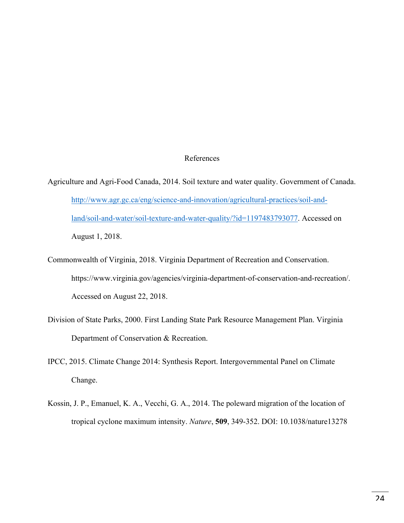## References

- Agriculture and Agri-Food Canada, 2014. Soil texture and water quality. Government of Canada. http://www.agr.gc.ca/eng/science-and-innovation/agricultural-practices/soil-andland/soil-and-water/soil-texture-and-water-quality/?id=1197483793077. Accessed on August 1, 2018.
- Commonwealth of Virginia, 2018. Virginia Department of Recreation and Conservation. https://www.virginia.gov/agencies/virginia-department-of-conservation-and-recreation/. Accessed on August 22, 2018.
- Division of State Parks, 2000. First Landing State Park Resource Management Plan. Virginia Department of Conservation & Recreation.
- IPCC, 2015. Climate Change 2014: Synthesis Report. Intergovernmental Panel on Climate Change.
- Kossin, J. P., Emanuel, K. A., Vecchi, G. A., 2014. The poleward migration of the location of tropical cyclone maximum intensity. *Nature*, **509**, 349-352. DOI: 10.1038/nature13278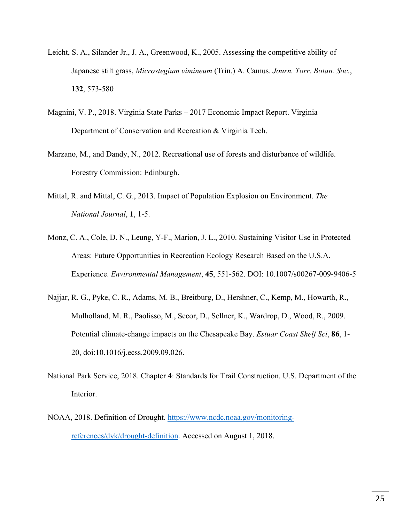- Leicht, S. A., Silander Jr., J. A., Greenwood, K., 2005. Assessing the competitive ability of Japanese stilt grass, *Microstegium vimineum* (Trin.) A. Camus. *Journ. Torr. Botan. Soc.*, **132**, 573-580
- Magnini, V. P., 2018. Virginia State Parks 2017 Economic Impact Report. Virginia Department of Conservation and Recreation & Virginia Tech.
- Marzano, M., and Dandy, N., 2012. Recreational use of forests and disturbance of wildlife. Forestry Commission: Edinburgh.
- Mittal, R. and Mittal, C. G., 2013. Impact of Population Explosion on Environment. *The National Journal*, **1**, 1-5.
- Monz, C. A., Cole, D. N., Leung, Y-F., Marion, J. L., 2010. Sustaining Visitor Use in Protected Areas: Future Opportunities in Recreation Ecology Research Based on the U.S.A. Experience. *Environmental Management*, **45**, 551-562. DOI: 10.1007/s00267-009-9406-5
- Najjar, R. G., Pyke, C. R., Adams, M. B., Breitburg, D., Hershner, C., Kemp, M., Howarth, R., Mulholland, M. R., Paolisso, M., Secor, D., Sellner, K., Wardrop, D., Wood, R., 2009. Potential climate-change impacts on the Chesapeake Bay. *Estuar Coast Shelf Sci*, **86**, 1- 20, doi:10.1016/j.ecss.2009.09.026.
- National Park Service, 2018. Chapter 4: Standards for Trail Construction. U.S. Department of the Interior.
- NOAA, 2018. Definition of Drought. https://www.ncdc.noaa.gov/monitoringreferences/dyk/drought-definition. Accessed on August 1, 2018.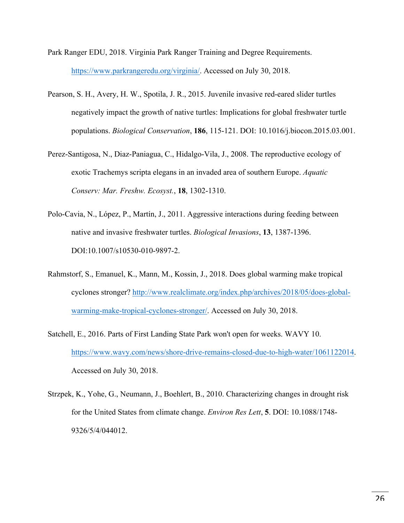- Park Ranger EDU, 2018. Virginia Park Ranger Training and Degree Requirements. https://www.parkrangeredu.org/virginia/. Accessed on July 30, 2018.
- Pearson, S. H., Avery, H. W., Spotila, J. R., 2015. Juvenile invasive red-eared slider turtles negatively impact the growth of native turtles: Implications for global freshwater turtle populations. *Biological Conservation*, **186**, 115-121. DOI: 10.1016/j.biocon.2015.03.001.
- Perez-Santigosa, N., Diaz-Paniagua, C., Hidalgo-Vila, J., 2008. The reproductive ecology of exotic Trachemys scripta elegans in an invaded area of southern Europe. *Aquatic Conserv: Mar. Freshw. Ecosyst.*, **18**, 1302-1310.
- Polo-Cavia, N., López, P., Martín, J., 2011. Aggressive interactions during feeding between native and invasive freshwater turtles. *Biological Invasions*, **13**, 1387-1396. DOI:10.1007/s10530-010-9897-2.
- Rahmstorf, S., Emanuel, K., Mann, M., Kossin, J., 2018. Does global warming make tropical cyclones stronger? http://www.realclimate.org/index.php/archives/2018/05/does-globalwarming-make-tropical-cyclones-stronger/. Accessed on July 30, 2018.
- Satchell, E., 2016. Parts of First Landing State Park won't open for weeks. WAVY 10. https://www.wavy.com/news/shore-drive-remains-closed-due-to-high-water/1061122014. Accessed on July 30, 2018.
- Strzpek, K., Yohe, G., Neumann, J., Boehlert, B., 2010. Characterizing changes in drought risk for the United States from climate change. *Environ Res Lett*, **5**. DOI: 10.1088/1748- 9326/5/4/044012.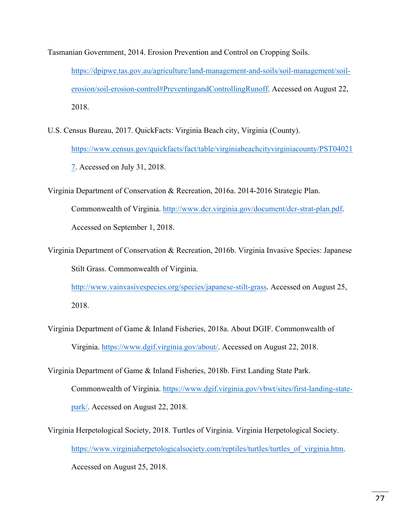Tasmanian Government, 2014. Erosion Prevention and Control on Cropping Soils.

https://dpipwe.tas.gov.au/agriculture/land-management-and-soils/soil-management/soilerosion/soil-erosion-control#PreventingandControllingRunoff. Accessed on August 22, 2018.

- U.S. Census Bureau, 2017. QuickFacts: Virginia Beach city, Virginia (County). https://www.census.gov/quickfacts/fact/table/virginiabeachcityvirginiacounty/PST04021 7. Accessed on July 31, 2018.
- Virginia Department of Conservation & Recreation, 2016a. 2014-2016 Strategic Plan. Commonwealth of Virginia. http://www.dcr.virginia.gov/document/dcr-strat-plan.pdf. Accessed on September 1, 2018.
- Virginia Department of Conservation & Recreation, 2016b. Virginia Invasive Species: Japanese Stilt Grass. Commonwealth of Virginia.

http://www.vainvasivespecies.org/species/japanese-stilt-grass. Accessed on August 25, 2018.

Virginia Department of Game & Inland Fisheries, 2018a. About DGIF. Commonwealth of Virginia. https://www.dgif.virginia.gov/about/. Accessed on August 22, 2018.

Virginia Department of Game & Inland Fisheries, 2018b. First Landing State Park. Commonwealth of Virginia. https://www.dgif.virginia.gov/vbwt/sites/first-landing-state-

park/. Accessed on August 22, 2018.

Virginia Herpetological Society, 2018. Turtles of Virginia. Virginia Herpetological Society. https://www.virginiaherpetologicalsociety.com/reptiles/turtles/turtles\_of\_virginia.htm. Accessed on August 25, 2018.